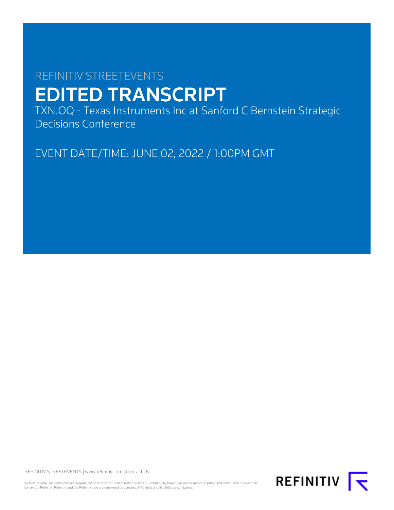# REFINITIV STREETEVENTS EDITED TRANSCRIPT

TXN.OQ - Texas Instruments Inc at Sanford C Bernstein Strategic Decisions Conference

EVENT DATE/TIME: JUNE 02, 2022 / 1:00PM GMT

REFINITIV STREETEVENTS | [www.refinitiv.com](https://www.refinitiv.com/) | [Contact Us](https://www.refinitiv.com/en/contact-us)

©2022 Refinitiv. All rights reserved. Republication or redistribution of Refinitiv content, including by framing or similar means, is prohibited without the prior written<br>consent of Refinitiv. 'Refinitiv' and the Refinitiv

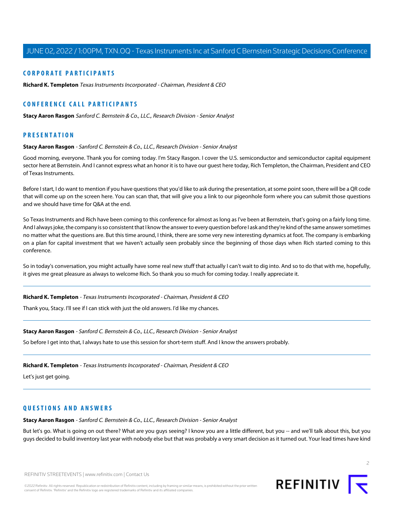# **CORPORATE PARTICIPANTS**

**[Richard K. Templeton](#page-1-0)** Texas Instruments Incorporated - Chairman, President & CEO

# **CONFERENCE CALL PARTICIPANTS**

**[Stacy Aaron Rasgon](#page-1-1)** Sanford C. Bernstein & Co., LLC., Research Division - Senior Analyst

# <span id="page-1-1"></span>**PRESENTATION**

#### **Stacy Aaron Rasgon** - Sanford C. Bernstein & Co., LLC., Research Division - Senior Analyst

Good morning, everyone. Thank you for coming today. I'm Stacy Rasgon. I cover the U.S. semiconductor and semiconductor capital equipment sector here at Bernstein. And I cannot express what an honor it is to have our guest here today, Rich Templeton, the Chairman, President and CEO of Texas Instruments.

Before I start, I do want to mention if you have questions that you'd like to ask during the presentation, at some point soon, there will be a QR code that will come up on the screen here. You can scan that, that will give you a link to our pigeonhole form where you can submit those questions and we should have time for Q&A at the end.

So Texas Instruments and Rich have been coming to this conference for almost as long as I've been at Bernstein, that's going on a fairly long time. And I always joke, the company is so consistent that I know the answer to every question before I ask and they're kind of the same answer sometimes no matter what the questions are. But this time around, I think, there are some very new interesting dynamics at foot. The company is embarking on a plan for capital investment that we haven't actually seen probably since the beginning of those days when Rich started coming to this conference.

<span id="page-1-0"></span>So in today's conversation, you might actually have some real new stuff that actually I can't wait to dig into. And so to do that with me, hopefully, it gives me great pleasure as always to welcome Rich. So thank you so much for coming today. I really appreciate it.

**Richard K. Templeton** - Texas Instruments Incorporated - Chairman, President & CEO

Thank you, Stacy. I'll see if I can stick with just the old answers. I'd like my chances.

#### **Stacy Aaron Rasgon** - Sanford C. Bernstein & Co., LLC., Research Division - Senior Analyst

So before I get into that, I always hate to use this session for short-term stuff. And I know the answers probably.

#### **Richard K. Templeton** - Texas Instruments Incorporated - Chairman, President & CEO

Let's just get going.

# **QUESTIONS AND ANSWERS**

**Stacy Aaron Rasgon** - Sanford C. Bernstein & Co., LLC., Research Division - Senior Analyst

But let's go. What is going on out there? What are you guys seeing? I know you are a little different, but you -- and we'll talk about this, but you guys decided to build inventory last year with nobody else but that was probably a very smart decision as it turned out. Your lead times have kind

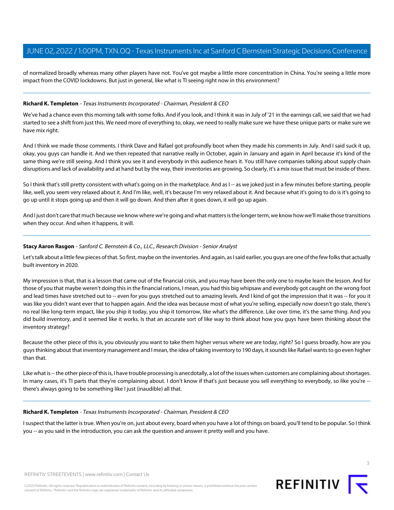of normalized broadly whereas many other players have not. You've got maybe a little more concentration in China. You're seeing a little more impact from the COVID lockdowns. But just in general, like what is TI seeing right now in this environment?

# **Richard K. Templeton** - Texas Instruments Incorporated - Chairman, President & CEO

We've had a chance even this morning talk with some folks. And if you look, and I think it was in July of '21 in the earnings call, we said that we had started to see a shift from just this. We need more of everything to, okay, we need to really make sure we have these unique parts or make sure we have mix right.

And I think we made those comments. I think Dave and Rafael got profoundly boot when they made his comments in July. And I said suck it up, okay, you guys can handle it. And we then repeated that narrative really in October, again in January and again in April because it's kind of the same thing we're still seeing. And I think you see it and everybody in this audience hears it. You still have companies talking about supply chain disruptions and lack of availability and at hand but by the way, their inventories are growing. So clearly, it's a mix issue that must be inside of there.

So I think that's still pretty consistent with what's going on in the marketplace. And as I -- as we joked just in a few minutes before starting, people like, well, you seem very relaxed about it. And I'm like, well, it's because I'm very relaxed about it. And because what it's going to do is it's going to go up until it stops going up and then it will go down. And then after it goes down, it will go up again.

And I just don't care that much because we know where we're going and what matters is the longer term, we know how we'll make those transitions when they occur. And when it happens, it will.

## **Stacy Aaron Rasgon** - Sanford C. Bernstein & Co., LLC., Research Division - Senior Analyst

Let's talk about a little few pieces of that. So first, maybe on the inventories. And again, as I said earlier, you guys are one of the few folks that actually built inventory in 2020.

My impression is that, that is a lesson that came out of the financial crisis, and you may have been the only one to maybe learn the lesson. And for those of you that maybe weren't doing this in the financial rations, I mean, you had this big whipsaw and everybody got caught on the wrong foot and lead times have stretched out to -- even for you quys stretched out to amazing levels. And I kind of got the impression that it was -- for you it was like you didn't want ever that to happen again. And the idea was because most of what you're selling, especially now doesn't go stale, there's no real like long-term impact, like you ship it today, you ship it tomorrow, like what's the difference. Like over time, it's the same thing. And you did build inventory, and it seemed like it works. Is that an accurate sort of like way to think about how you guys have been thinking about the inventory strategy?

Because the other piece of this is, you obviously you want to take them higher versus where we are today, right? So I guess broadly, how are you guys thinking about that inventory management and I mean, the idea of taking inventory to 190 days, it sounds like Rafael wants to go even higher than that.

Like what is -- the other piece of this is, I have trouble processing is anecdotally, a lot of the issues when customers are complaining about shortages. In many cases, it's TI parts that they're complaining about. I don't know if that's just because you sell everything to everybody, so like you're -there's always going to be something like I just (inaudible) all that.

#### **Richard K. Templeton** - Texas Instruments Incorporated - Chairman, President & CEO

I suspect that the latter is true. When you're on, just about every, board when you have a lot of things on board, you'll tend to be popular. So I think you -- as you said in the introduction, you can ask the question and answer it pretty well and you have.

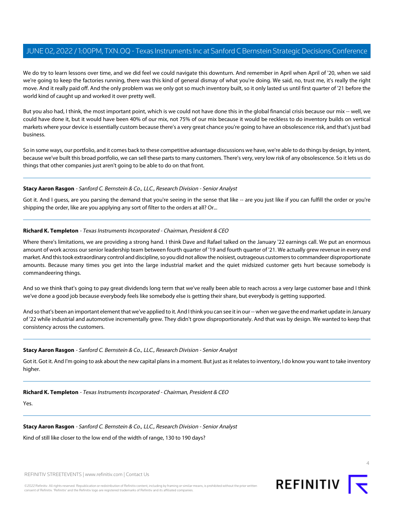We do try to learn lessons over time, and we did feel we could navigate this downturn. And remember in April when April of '20, when we said we're going to keep the factories running, there was this kind of general dismay of what you're doing. We said, no, trust me, it's really the right move. And it really paid off. And the only problem was we only got so much inventory built, so it only lasted us until first quarter of '21 before the world kind of caught up and worked it over pretty well.

But you also had, I think, the most important point, which is we could not have done this in the global financial crisis because our mix -- well, we could have done it, but it would have been 40% of our mix, not 75% of our mix because it would be reckless to do inventory builds on vertical markets where your device is essentially custom because there's a very great chance you're going to have an obsolescence risk, and that's just bad business.

So in some ways, our portfolio, and it comes back to these competitive advantage discussions we have, we're able to do things by design, by intent, because we've built this broad portfolio, we can sell these parts to many customers. There's very, very low risk of any obsolescence. So it lets us do things that other companies just aren't going to be able to do on that front.

# **Stacy Aaron Rasgon** - Sanford C. Bernstein & Co., LLC., Research Division - Senior Analyst

Got it. And I guess, are you parsing the demand that you're seeing in the sense that like -- are you just like if you can fulfill the order or you're shipping the order, like are you applying any sort of filter to the orders at all? Or...

# **Richard K. Templeton** - Texas Instruments Incorporated - Chairman, President & CEO

Where there's limitations, we are providing a strong hand. I think Dave and Rafael talked on the January '22 earnings call. We put an enormous amount of work across our senior leadership team between fourth quarter of '19 and fourth quarter of '21. We actually grew revenue in every end market. And this took extraordinary control and discipline, so you did not allow the noisiest, outrageous customers to commandeer disproportionate amounts. Because many times you get into the large industrial market and the quiet midsized customer gets hurt because somebody is commandeering things.

And so we think that's going to pay great dividends long term that we've really been able to reach across a very large customer base and I think we've done a good job because everybody feels like somebody else is getting their share, but everybody is getting supported.

And so that's been an important element that we've applied to it. And I think you can see it in our -- when we gave the end market update in January of '22 while industrial and automotive incrementally grew. They didn't grow disproportionately. And that was by design. We wanted to keep that consistency across the customers.

# **Stacy Aaron Rasgon** - Sanford C. Bernstein & Co., LLC., Research Division - Senior Analyst

Got it. Got it. And I'm going to ask about the new capital plans in a moment. But just as it relates to inventory, I do know you want to take inventory higher.

# **Richard K. Templeton** - Texas Instruments Incorporated - Chairman, President & CEO

Yes.

# **Stacy Aaron Rasgon** - Sanford C. Bernstein & Co., LLC., Research Division - Senior Analyst

Kind of still like closer to the low end of the width of range, 130 to 190 days?

REFINITIV STREETEVENTS | [www.refinitiv.com](https://www.refinitiv.com/) | [Contact Us](https://www.refinitiv.com/en/contact-us)

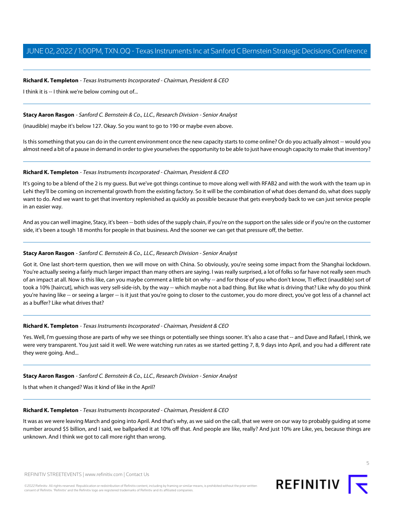## **Richard K. Templeton** - Texas Instruments Incorporated - Chairman, President & CEO

I think it is -- I think we're below coming out of...

#### **Stacy Aaron Rasgon** - Sanford C. Bernstein & Co., LLC., Research Division - Senior Analyst

(inaudible) maybe it's below 127. Okay. So you want to go to 190 or maybe even above.

Is this something that you can do in the current environment once the new capacity starts to come online? Or do you actually almost -- would you almost need a bit of a pause in demand in order to give yourselves the opportunity to be able to just have enough capacity to make that inventory?

#### **Richard K. Templeton** - Texas Instruments Incorporated - Chairman, President & CEO

It's going to be a blend of the 2 is my guess. But we've got things continue to move along well with RFAB2 and with the work with the team up in Lehi they'll be coming on incremental growth from the existing factory. So it will be the combination of what does demand do, what does supply want to do. And we want to get that inventory replenished as quickly as possible because that gets everybody back to we can just service people in an easier way.

And as you can well imagine, Stacy, it's been -- both sides of the supply chain, if you're on the support on the sales side or if you're on the customer side, it's been a tough 18 months for people in that business. And the sooner we can get that pressure off, the better.

# **Stacy Aaron Rasgon** - Sanford C. Bernstein & Co., LLC., Research Division - Senior Analyst

Got it. One last short-term question, then we will move on with China. So obviously, you're seeing some impact from the Shanghai lockdown. You're actually seeing a fairly much larger impact than many others are saying. I was really surprised, a lot of folks so far have not really seen much of an impact at all. Now is this like, can you maybe comment a little bit on why -- and for those of you who don't know, TI effect (inaudible) sort of took a 10% [haircut], which was very sell-side-ish, by the way -- which maybe not a bad thing. But like what is driving that? Like why do you think you're having like -- or seeing a larger -- is it just that you're going to closer to the customer, you do more direct, you've got less of a channel act as a buffer? Like what drives that?

#### **Richard K. Templeton** - Texas Instruments Incorporated - Chairman, President & CEO

Yes. Well, I'm guessing those are parts of why we see things or potentially see things sooner. It's also a case that -- and Dave and Rafael, I think, we were very transparent. You just said it well. We were watching run rates as we started getting 7, 8, 9 days into April, and you had a different rate they were going. And...

#### **Stacy Aaron Rasgon** - Sanford C. Bernstein & Co., LLC., Research Division - Senior Analyst

Is that when it changed? Was it kind of like in the April?

## **Richard K. Templeton** - Texas Instruments Incorporated - Chairman, President & CEO

It was as we were leaving March and going into April. And that's why, as we said on the call, that we were on our way to probably guiding at some number around \$5 billion, and I said, we ballparked it at 10% off that. And people are like, really? And just 10% are Like, yes, because things are unknown. And I think we got to call more right than wrong.



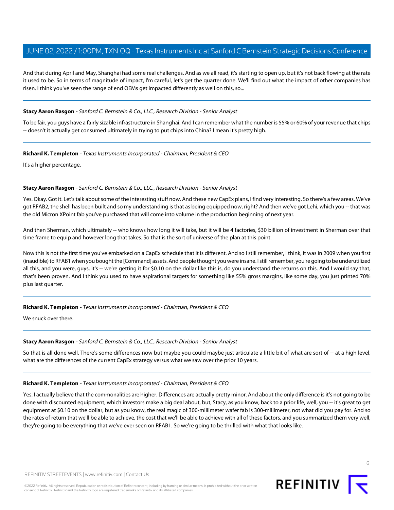And that during April and May, Shanghai had some real challenges. And as we all read, it's starting to open up, but it's not back flowing at the rate it used to be. So in terms of magnitude of impact, I'm careful, let's get the quarter done. We'll find out what the impact of other companies has risen. I think you've seen the range of end OEMs get impacted differently as well on this, so...

# **Stacy Aaron Rasgon** - Sanford C. Bernstein & Co., LLC., Research Division - Senior Analyst

To be fair, you guys have a fairly sizable infrastructure in Shanghai. And I can remember what the number is 55% or 60% of your revenue that chips -- doesn't it actually get consumed ultimately in trying to put chips into China? I mean it's pretty high.

#### **Richard K. Templeton** - Texas Instruments Incorporated - Chairman, President & CEO

It's a higher percentage.

## **Stacy Aaron Rasgon** - Sanford C. Bernstein & Co., LLC., Research Division - Senior Analyst

Yes. Okay. Got it. Let's talk about some of the interesting stuff now. And these new CapEx plans, I find very interesting. So there's a few areas. We've got RFAB2, the shell has been built and so my understanding is that as being equipped now, right? And then we've got Lehi, which you -- that was the old Micron XPoint fab you've purchased that will come into volume in the production beginning of next year.

And then Sherman, which ultimately -- who knows how long it will take, but it will be 4 factories, \$30 billion of investment in Sherman over that time frame to equip and however long that takes. So that is the sort of universe of the plan at this point.

Now this is not the first time you've embarked on a CapEx schedule that it is different. And so I still remember, I think, it was in 2009 when you first (inaudible) to RFAB1 when you bought the [Command] assets. And people thought you were insane. I still remember, you're going to be underutilized all this, and you were, guys, it's -- we're getting it for \$0.10 on the dollar like this is, do you understand the returns on this. And I would say that, that's been proven. And I think you used to have aspirational targets for something like 55% gross margins, like some day, you just printed 70% plus last quarter.

# **Richard K. Templeton** - Texas Instruments Incorporated - Chairman, President & CEO

We snuck over there.

#### **Stacy Aaron Rasgon** - Sanford C. Bernstein & Co., LLC., Research Division - Senior Analyst

So that is all done well. There's some differences now but maybe you could maybe just articulate a little bit of what are sort of -- at a high level, what are the differences of the current CapEx strategy versus what we saw over the prior 10 years.

#### **Richard K. Templeton** - Texas Instruments Incorporated - Chairman, President & CEO

Yes. I actually believe that the commonalities are higher. Differences are actually pretty minor. And about the only difference is it's not going to be done with discounted equipment, which investors make a big deal about, but, Stacy, as you know, back to a prior life, well, you -- it's great to get equipment at \$0.10 on the dollar, but as you know, the real magic of 300-millimeter wafer fab is 300-millimeter, not what did you pay for. And so the rates of return that we'll be able to achieve, the cost that we'll be able to achieve with all of these factors, and you summarized them very well, they're going to be everything that we've ever seen on RFAB1. So we're going to be thrilled with what that looks like.



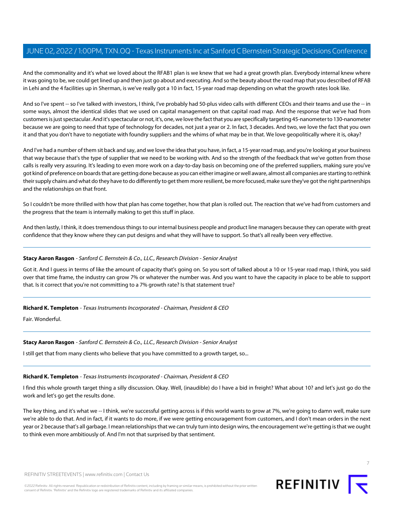And the commonality and it's what we loved about the RFAB1 plan is we knew that we had a great growth plan. Everybody internal knew where it was going to be, we could get lined up and then just go about and executing. And so the beauty about the road map that you described of RFAB in Lehi and the 4 facilities up in Sherman, is we've really got a 10 in fact, 15-year road map depending on what the growth rates look like.

And so I've spent -- so I've talked with investors, I think, I've probably had 50-plus video calls with different CEOs and their teams and use the -- in some ways, almost the identical slides that we used on capital management on that capital road map. And the response that we've had from customers is just spectacular. And it's spectacular or not, it's, one, we love the fact that you are specifically targeting 45-nanometer to 130-nanometer because we are going to need that type of technology for decades, not just a year or 2. In fact, 3 decades. And two, we love the fact that you own it and that you don't have to negotiate with foundry suppliers and the whims of what may be in that. We love geopolitically where it is, okay?

And I've had a number of them sit back and say, and we love the idea that you have, in fact, a 15-year road map, and you're looking at your business that way because that's the type of supplier that we need to be working with. And so the strength of the feedback that we've gotten from those calls is really very assuring. It's leading to even more work on a day-to-day basis on becoming one of the preferred suppliers, making sure you've got kind of preference on boards that are getting done because as you can either imagine or well aware, almost all companies are starting to rethink their supply chains and what do they have to do differently to get them more resilient, be more focused, make sure they've got the right partnerships and the relationships on that front.

So I couldn't be more thrilled with how that plan has come together, how that plan is rolled out. The reaction that we've had from customers and the progress that the team is internally making to get this stuff in place.

And then lastly, I think, it does tremendous things to our internal business people and product line managers because they can operate with great confidence that they know where they can put designs and what they will have to support. So that's all really been very effective.

#### **Stacy Aaron Rasgon** - Sanford C. Bernstein & Co., LLC., Research Division - Senior Analyst

Got it. And I guess in terms of like the amount of capacity that's going on. So you sort of talked about a 10 or 15-year road map, I think, you said over that time frame, the industry can grow 7% or whatever the number was. And you want to have the capacity in place to be able to support that. Is it correct that you're not committing to a 7% growth rate? Is that statement true?

#### **Richard K. Templeton** - Texas Instruments Incorporated - Chairman, President & CEO

Fair. Wonderful.

#### **Stacy Aaron Rasgon** - Sanford C. Bernstein & Co., LLC., Research Division - Senior Analyst

I still get that from many clients who believe that you have committed to a growth target, so...

#### **Richard K. Templeton** - Texas Instruments Incorporated - Chairman, President & CEO

I find this whole growth target thing a silly discussion. Okay. Well, (inaudible) do I have a bid in freight? What about 10? and let's just go do the work and let's go get the results done.

The key thing, and it's what we -- I think, we're successful getting across is if this world wants to grow at 7%, we're going to damn well, make sure we're able to do that. And in fact, if it wants to do more, if we were getting encouragement from customers, and I don't mean orders in the next year or 2 because that's all garbage. I mean relationships that we can truly turn into design wins, the encouragement we're getting is that we ought to think even more ambitiously of. And I'm not that surprised by that sentiment.

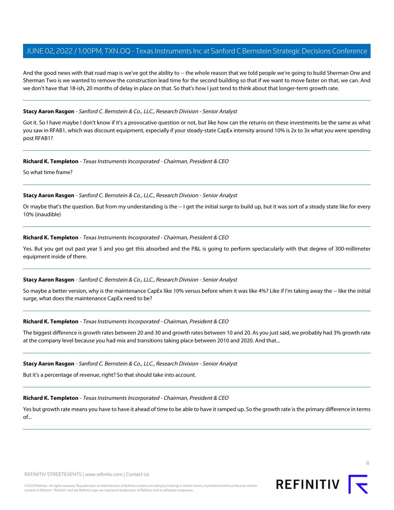And the good news with that road map is we've got the ability to -- the whole reason that we told people we're going to build Sherman One and Sherman Two is we wanted to remove the construction lead time for the second building so that if we want to move faster on that, we can. And we don't have that 18-ish, 20 months of delay in place on that. So that's how I just tend to think about that longer-term growth rate.

#### **Stacy Aaron Rasgon** - Sanford C. Bernstein & Co., LLC., Research Division - Senior Analyst

Got it. So I have maybe I don't know if it's a provocative question or not, but like how can the returns on these investments be the same as what you saw in RFAB1, which was discount equipment, especially if your steady-state CapEx intensity around 10% is 2x to 3x what you were spending post RFAB1?

#### **Richard K. Templeton** - Texas Instruments Incorporated - Chairman, President & CEO

So what time frame?

#### **Stacy Aaron Rasgon** - Sanford C. Bernstein & Co., LLC., Research Division - Senior Analyst

Or maybe that's the question. But from my understanding is the -- I get the initial surge to build up, but it was sort of a steady state like for every 10% (inaudible)

#### **Richard K. Templeton** - Texas Instruments Incorporated - Chairman, President & CEO

Yes. But you get out past year 5 and you get this absorbed and the P&L is going to perform spectacularly with that degree of 300-millimeter equipment inside of there.

#### **Stacy Aaron Rasgon** - Sanford C. Bernstein & Co., LLC., Research Division - Senior Analyst

So maybe a better version, why is the maintenance CapEx like 10% versus before when it was like 4%? Like if I'm taking away the -- like the initial surge, what does the maintenance CapEx need to be?

## **Richard K. Templeton** - Texas Instruments Incorporated - Chairman, President & CEO

The biggest difference is growth rates between 20 and 30 and growth rates between 10 and 20. As you just said, we probably had 3% growth rate at the company level because you had mix and transitions taking place between 2010 and 2020. And that...

#### **Stacy Aaron Rasgon** - Sanford C. Bernstein & Co., LLC., Research Division - Senior Analyst

But it's a percentage of revenue, right? So that should take into account.

#### **Richard K. Templeton** - Texas Instruments Incorporated - Chairman, President & CEO

Yes but growth rate means you have to have it ahead of time to be able to have it ramped up. So the growth rate is the primary difference in terms of...

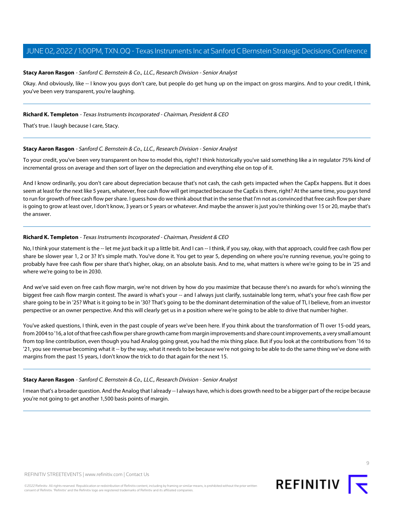## **Stacy Aaron Rasgon** - Sanford C. Bernstein & Co., LLC., Research Division - Senior Analyst

Okay. And obviously, like -- I know you guys don't care, but people do get hung up on the impact on gross margins. And to your credit, I think, you've been very transparent, you're laughing.

#### **Richard K. Templeton** - Texas Instruments Incorporated - Chairman, President & CEO

That's true. I laugh because I care, Stacy.

#### **Stacy Aaron Rasgon** - Sanford C. Bernstein & Co., LLC., Research Division - Senior Analyst

To your credit, you've been very transparent on how to model this, right? I think historically you've said something like a in regulator 75% kind of incremental gross on average and then sort of layer on the depreciation and everything else on top of it.

And I know ordinarily, you don't care about depreciation because that's not cash, the cash gets impacted when the CapEx happens. But it does seem at least for the next like 5 years, whatever, free cash flow will get impacted because the CapEx is there, right? At the same time, you guys tend to run for growth of free cash flow per share. I guess how do we think about that in the sense that I'm not as convinced that free cash flow per share is going to grow at least over, I don't know, 3 years or 5 years or whatever. And maybe the answer is just you're thinking over 15 or 20, maybe that's the answer.

#### **Richard K. Templeton** - Texas Instruments Incorporated - Chairman, President & CEO

No, I think your statement is the -- let me just back it up a little bit. And I can -- I think, if you say, okay, with that approach, could free cash flow per share be slower year 1, 2 or 3? It's simple math. You've done it. You get to year 5, depending on where you're running revenue, you're going to probably have free cash flow per share that's higher, okay, on an absolute basis. And to me, what matters is where we're going to be in '25 and where we're going to be in 2030.

And we've said even on free cash flow margin, we're not driven by how do you maximize that because there's no awards for who's winning the biggest free cash flow margin contest. The award is what's your -- and I always just clarify, sustainable long term, what's your free cash flow per share going to be in '25? What is it going to be in '30? That's going to be the dominant determination of the value of TI, I believe, from an investor perspective or an owner perspective. And this will clearly get us in a position where we're going to be able to drive that number higher.

You've asked questions, I think, even in the past couple of years we've been here. If you think about the transformation of TI over 15-odd years, from 2004 to '16, a lot of that free cash flow per share growth came from margin improvements and share count improvements, a very small amount from top line contribution, even though you had Analog going great, you had the mix thing place. But if you look at the contributions from '16 to '21, you see revenue becoming what it -- by the way, what it needs to be because we're not going to be able to do the same thing we've done with margins from the past 15 years, I don't know the trick to do that again for the next 15.

#### **Stacy Aaron Rasgon** - Sanford C. Bernstein & Co., LLC., Research Division - Senior Analyst

I mean that's a broader question. And the Analog that I already -- I always have, which is does growth need to be a bigger part of the recipe because you're not going to get another 1,500 basis points of margin.



REFINITIV STREETEVENTS | [www.refinitiv.com](https://www.refinitiv.com/) | [Contact Us](https://www.refinitiv.com/en/contact-us)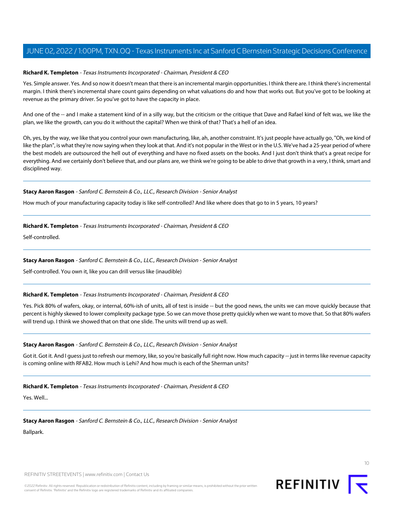## **Richard K. Templeton** - Texas Instruments Incorporated - Chairman, President & CEO

Yes. Simple answer. Yes. And so now it doesn't mean that there is an incremental margin opportunities. I think there are. I think there's incremental margin. I think there's incremental share count gains depending on what valuations do and how that works out. But you've got to be looking at revenue as the primary driver. So you've got to have the capacity in place.

And one of the -- and I make a statement kind of in a silly way, but the criticism or the critique that Dave and Rafael kind of felt was, we like the plan, we like the growth, can you do it without the capital? When we think of that? That's a hell of an idea.

Oh, yes, by the way, we like that you control your own manufacturing, like, ah, another constraint. It's just people have actually go, "Oh, we kind of like the plan", is what they're now saying when they look at that. And it's not popular in the West or in the U.S. We've had a 25-year period of where the best models are outsourced the hell out of everything and have no fixed assets on the books. And I just don't think that's a great recipe for everything. And we certainly don't believe that, and our plans are, we think we're going to be able to drive that growth in a very, I think, smart and disciplined way.

## **Stacy Aaron Rasgon** - Sanford C. Bernstein & Co., LLC., Research Division - Senior Analyst

How much of your manufacturing capacity today is like self-controlled? And like where does that go to in 5 years, 10 years?

## **Richard K. Templeton** - Texas Instruments Incorporated - Chairman, President & CEO

Self-controlled.

# **Stacy Aaron Rasgon** - Sanford C. Bernstein & Co., LLC., Research Division - Senior Analyst

Self-controlled. You own it, like you can drill versus like (inaudible)

# **Richard K. Templeton** - Texas Instruments Incorporated - Chairman, President & CEO

Yes. Pick 80% of wafers, okay, or internal, 60%-ish of units, all of test is inside -- but the good news, the units we can move quickly because that percent is highly skewed to lower complexity package type. So we can move those pretty quickly when we want to move that. So that 80% wafers will trend up. I think we showed that on that one slide. The units will trend up as well.

#### **Stacy Aaron Rasgon** - Sanford C. Bernstein & Co., LLC., Research Division - Senior Analyst

Got it. Got it. And I guess just to refresh our memory, like, so you're basically full right now. How much capacity -- just in terms like revenue capacity is coming online with RFAB2. How much is Lehi? And how much is each of the Sherman units?

#### **Richard K. Templeton** - Texas Instruments Incorporated - Chairman, President & CEO

Yes. Well...

#### **Stacy Aaron Rasgon** - Sanford C. Bernstein & Co., LLC., Research Division - Senior Analyst

Ballpark.

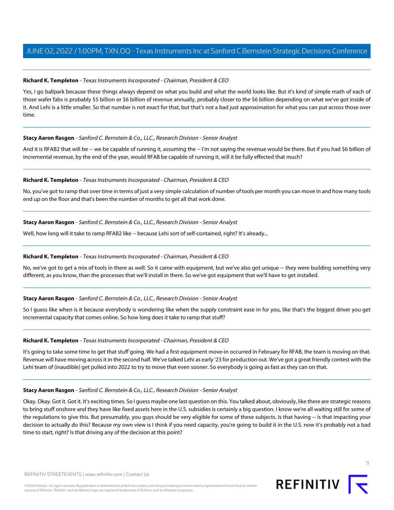# **Richard K. Templeton** - Texas Instruments Incorporated - Chairman, President & CEO

Yes, I go ballpark because these things always depend on what you build and what the world looks like. But it's kind of simple math of each of those wafer fabs is probably \$5 billion or \$6 billion of revenue annually, probably closer to the \$6 billion depending on what we've got inside of it. And Lehi is a little smaller. So that number is not exact for that, but that's not a bad just approximation for what you can put across those over time.

# **Stacy Aaron Rasgon** - Sanford C. Bernstein & Co., LLC., Research Division - Senior Analyst

And it is RFAB2 that will be -- we be capable of running it, assuming the -- I'm not saying the revenue would be there. But if you had \$6 billion of incremental revenue, by the end of the year, would RFAB be capable of running it, will it be fully effected that much?

# **Richard K. Templeton** - Texas Instruments Incorporated - Chairman, President & CEO

No, you've got to ramp that over time in terms of just a very simple calculation of number of tools per month you can move in and how many tools end up on the floor and that's been the number of months to get all that work done.

# **Stacy Aaron Rasgon** - Sanford C. Bernstein & Co., LLC., Research Division - Senior Analyst

Well, how long will it take to ramp RFAB2 like -- because Lehi sort of self-contained, right? It's already...

# **Richard K. Templeton** - Texas Instruments Incorporated - Chairman, President & CEO

No, we've got to get a mix of tools in there as well. So it came with equipment, but we've also got unique -- they were building something very different, as you know, than the processes that we'll install in there. So we've got equipment that we'll have to get installed.

# **Stacy Aaron Rasgon** - Sanford C. Bernstein & Co., LLC., Research Division - Senior Analyst

So I guess like when is it because everybody is wondering like when the supply constraint ease in for you, like that's the biggest driver you get incremental capacity that comes online. So how long does it take to ramp that stuff?

# **Richard K. Templeton** - Texas Instruments Incorporated - Chairman, President & CEO

It's going to take some time to get that stuff going. We had a first equipment move-in occurred in February for RFAB, the team is moving on that. Revenue will have moving across it in the second half. We've talked Lehi as early '23 for production out. We've got a great friendly contest with the Lehi team of (inaudible) get pulled into 2022 to try to move that even sooner. So everybody is going as fast as they can on that.

# **Stacy Aaron Rasgon** - Sanford C. Bernstein & Co., LLC., Research Division - Senior Analyst

Okay. Okay. Got it. Got it. It's exciting times. So I guess maybe one last question on this. You talked about, obviously, like there are strategic reasons to bring stuff onshore and they have like fixed assets here in the U.S. subsidies is certainly a big question. I know we're all waiting still for some of the regulations to give this. But presumably, you guys should be very eligible for some of these subjects. Is that having -- is that impacting your decision to actually do this? Because my own view is I think if you need capacity, you're going to build it in the U.S. now it's probably not a bad time to start, right? Is that driving any of the decision at this point?



11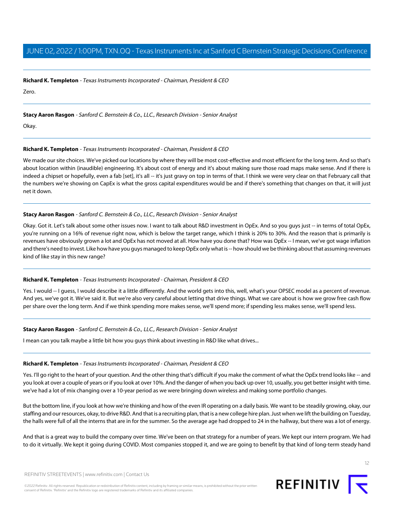#### **Richard K. Templeton** - Texas Instruments Incorporated - Chairman, President & CEO

Zero.

## **Stacy Aaron Rasgon** - Sanford C. Bernstein & Co., LLC., Research Division - Senior Analyst

Okay.

## **Richard K. Templeton** - Texas Instruments Incorporated - Chairman, President & CEO

We made our site choices. We've picked our locations by where they will be most cost-effective and most efficient for the long term. And so that's about location within (inaudible) engineering. It's about cost of energy and it's about making sure those road maps make sense. And if there is indeed a chipset or hopefully, even a fab [set], it's all -- it's just gravy on top in terms of that. I think we were very clear on that February call that the numbers we're showing on CapEx is what the gross capital expenditures would be and if there's something that changes on that, it will just net it down.

# **Stacy Aaron Rasgon** - Sanford C. Bernstein & Co., LLC., Research Division - Senior Analyst

Okay. Got it. Let's talk about some other issues now. I want to talk about R&D investment in OpEx. And so you guys just -- in terms of total OpEx, you're running on a 16% of revenue right now, which is below the target range, which I think is 20% to 30%. And the reason that is primarily is revenues have obviously grown a lot and OpEx has not moved at all. How have you done that? How was OpEx -- I mean, we've got wage inflation and there's need to invest. Like how have you guys managed to keep OpEx only what is -- how should we be thinking about that assuming revenues kind of like stay in this new range?

#### **Richard K. Templeton** - Texas Instruments Incorporated - Chairman, President & CEO

Yes. I would -- I guess, I would describe it a little differently. And the world gets into this, well, what's your OPSEC model as a percent of revenue. And yes, we've got it. We've said it. But we're also very careful about letting that drive things. What we care about is how we grow free cash flow per share over the long term. And if we think spending more makes sense, we'll spend more; if spending less makes sense, we'll spend less.

# **Stacy Aaron Rasgon** - Sanford C. Bernstein & Co., LLC., Research Division - Senior Analyst

I mean can you talk maybe a little bit how you guys think about investing in R&D like what drives...

#### **Richard K. Templeton** - Texas Instruments Incorporated - Chairman, President & CEO

Yes. I'll go right to the heart of your question. And the other thing that's difficult if you make the comment of what the OpEx trend looks like -- and you look at over a couple of years or if you look at over 10%. And the danger of when you back up over 10, usually, you get better insight with time. we've had a lot of mix changing over a 10-year period as we were bringing down wireless and making some portfolio changes.

But the bottom line, if you look at how we're thinking and how of the even IR operating on a daily basis. We want to be steadily growing, okay, our staffing and our resources, okay, to drive R&D. And that is a recruiting plan, that is a new college hire plan. Just when we lift the building on Tuesday, the halls were full of all the interns that are in for the summer. So the average age had dropped to 24 in the hallway, but there was a lot of energy.

And that is a great way to build the company over time. We've been on that strategy for a number of years. We kept our intern program. We had to do it virtually. We kept it going during COVID. Most companies stopped it, and we are going to benefit by that kind of long-term steady hand

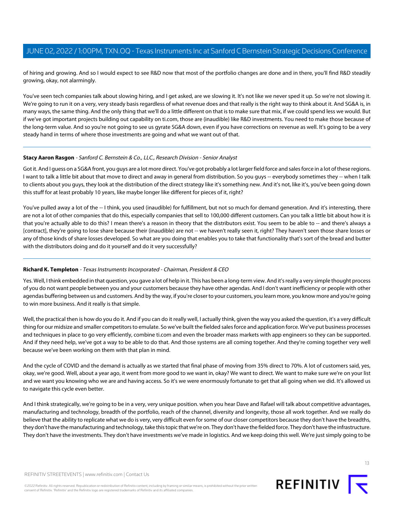of hiring and growing. And so I would expect to see R&D now that most of the portfolio changes are done and in there, you'll find R&D steadily growing, okay, not alarmingly.

You've seen tech companies talk about slowing hiring, and I get asked, are we slowing it. It's not like we never sped it up. So we're not slowing it. We're going to run it on a very, very steady basis regardless of what revenue does and that really is the right way to think about it. And SG&A is, in many ways, the same thing. And the only thing that we'll do a little different on that is to make sure that mix, if we could spend less we would. But if we've got important projects building out capability on ti.com, those are (inaudible) like R&D investments. You need to make those because of the long-term value. And so you're not going to see us gyrate SG&A down, even if you have corrections on revenue as well. It's going to be a very steady hand in terms of where those investments are going and what we want out of that.

## **Stacy Aaron Rasgon** - Sanford C. Bernstein & Co., LLC., Research Division - Senior Analyst

Got it. And I guess on a SG&A front, you guys are a lot more direct. You've got probably a lot larger field force and sales force in a lot of these regions. I want to talk a little bit about that move to direct and away in general from distribution. So you guys -- everybody sometimes they -- when I talk to clients about you guys, they look at the distribution of the direct strategy like it's something new. And it's not, like it's, you've been going down this stuff for at least probably 10 years, like maybe longer like different for pieces of it, right?

You've pulled away a lot of the -- I think, you used (inaudible) for fulfillment, but not so much for demand generation. And it's interesting, there are not a lot of other companies that do this, especially companies that sell to 100,000 different customers. Can you talk a little bit about how it is that you're actually able to do this? I mean there's a reason in theory that the distributors exist. You seem to be able to -- and there's always a [contract], they're going to lose share because their (inaudible) are not -- we haven't really seen it, right? They haven't seen those share losses or any of those kinds of share losses developed. So what are you doing that enables you to take that functionality that's sort of the bread and butter with the distributors doing and do it yourself and do it very successfully?

#### **Richard K. Templeton** - Texas Instruments Incorporated - Chairman, President & CEO

Yes. Well, I think embedded in that question, you gave a lot of help in it. This has been a long-term view. And it's really a very simple thought process of you do not want people between you and your customers because they have other agendas. And I don't want inefficiency or people with other agendas buffering between us and customers. And by the way, if you're closer to your customers, you learn more, you know more and you're going to win more business. And it really is that simple.

Well, the practical then is how do you do it. And if you can do it really well, I actually think, given the way you asked the question, it's a very difficult thing for our midsize and smaller competitors to emulate. So we've built the fielded sales force and application force. We've put business processes and techniques in place to go very efficiently, combine ti.com and even the broader mass markets with app engineers so they can be supported. And if they need help, we've got a way to be able to do that. And those systems are all coming together. And they're coming together very well because we've been working on them with that plan in mind.

And the cycle of COVID and the demand is actually as we started that final phase of moving from 35% direct to 70%. A lot of customers said, yes, okay, we're good. Well, about a year ago, it went from more good to we want in, okay? We want to direct. We want to make sure we're on your list and we want you knowing who we are and having access. So it's we were enormously fortunate to get that all going when we did. It's allowed us to navigate this cycle even better.

And I think strategically, we're going to be in a very, very unique position. when you hear Dave and Rafael will talk about competitive advantages, manufacturing and technology, breadth of the portfolio, reach of the channel, diversity and longevity, those all work together. And we really do believe that the ability to replicate what we do is very, very difficult even for some of our closer competitors because they don't have the breadths, they don't have the manufacturing and technology, take this topic that we're on. They don't have the fielded force. They don't have the infrastructure. They don't have the investments. They don't have investments we've made in logistics. And we keep doing this well. We're just simply going to be

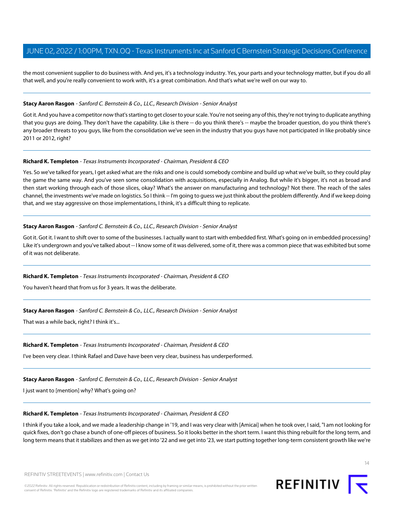the most convenient supplier to do business with. And yes, it's a technology industry. Yes, your parts and your technology matter, but if you do all that well, and you're really convenient to work with, it's a great combination. And that's what we're well on our way to.

#### **Stacy Aaron Rasgon** - Sanford C. Bernstein & Co., LLC., Research Division - Senior Analyst

Got it. And you have a competitor now that's starting to get closer to your scale. You're not seeing any of this, they're not trying to duplicate anything that you guys are doing. They don't have the capability. Like is there -- do you think there's -- maybe the broader question, do you think there's any broader threats to you guys, like from the consolidation we've seen in the industry that you guys have not participated in like probably since 2011 or 2012, right?

#### **Richard K. Templeton** - Texas Instruments Incorporated - Chairman, President & CEO

Yes. So we've talked for years, I get asked what are the risks and one is could somebody combine and build up what we've built, so they could play the game the same way. And you've seen some consolidation with acquisitions, especially in Analog. But while it's bigger, it's not as broad and then start working through each of those slices, okay? What's the answer on manufacturing and technology? Not there. The reach of the sales channel, the investments we've made on logistics. So I think -- I'm going to guess we just think about the problem differently. And if we keep doing that, and we stay aggressive on those implementations, I think, it's a difficult thing to replicate.

#### **Stacy Aaron Rasgon** - Sanford C. Bernstein & Co., LLC., Research Division - Senior Analyst

Got it. Got it. I want to shift over to some of the businesses. I actually want to start with embedded first. What's going on in embedded processing? Like it's undergrown and you've talked about -- I know some of it was delivered, some of it, there was a common piece that was exhibited but some of it was not deliberate.

#### **Richard K. Templeton** - Texas Instruments Incorporated - Chairman, President & CEO

You haven't heard that from us for 3 years. It was the deliberate.

#### **Stacy Aaron Rasgon** - Sanford C. Bernstein & Co., LLC., Research Division - Senior Analyst

That was a while back, right? I think it's...

#### **Richard K. Templeton** - Texas Instruments Incorporated - Chairman, President & CEO

I've been very clear. I think Rafael and Dave have been very clear, business has underperformed.

## **Stacy Aaron Rasgon** - Sanford C. Bernstein & Co., LLC., Research Division - Senior Analyst

I just want to [mention] why? What's going on?

#### **Richard K. Templeton** - Texas Instruments Incorporated - Chairman, President & CEO

I think if you take a look, and we made a leadership change in '19, and I was very clear with [Amicai] when he took over, I said, "I am not looking for quick fixes, don't go chase a bunch of one-off pieces of business. So it looks better in the short term. I want this thing rebuilt for the long term, and long term means that it stabilizes and then as we get into '22 and we get into '23, we start putting together long-term consistent growth like we're

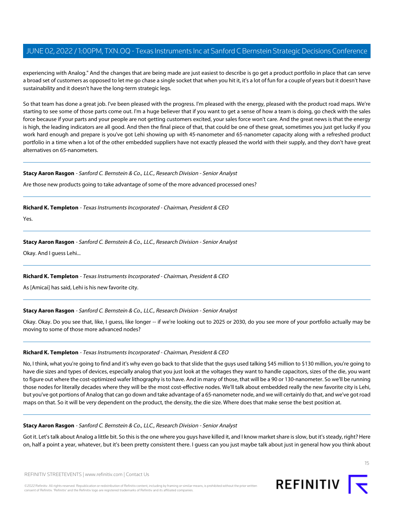experiencing with Analog." And the changes that are being made are just easiest to describe is go get a product portfolio in place that can serve a broad set of customers as opposed to let me go chase a single socket that when you hit it, it's a lot of fun for a couple of years but it doesn't have sustainability and it doesn't have the long-term strategic legs.

So that team has done a great job. I've been pleased with the progress. I'm pleased with the energy, pleased with the product road maps. We're starting to see some of those parts come out. I'm a huge believer that if you want to get a sense of how a team is doing, go check with the sales force because if your parts and your people are not getting customers excited, your sales force won't care. And the great news is that the energy is high, the leading indicators are all good. And then the final piece of that, that could be one of these great, sometimes you just get lucky if you work hard enough and prepare is you've got Lehi showing up with 45-nanometer and 65-nanometer capacity along with a refreshed product portfolio in a time when a lot of the other embedded suppliers have not exactly pleased the world with their supply, and they don't have great alternatives on 65-nanometers.

## **Stacy Aaron Rasgon** - Sanford C. Bernstein & Co., LLC., Research Division - Senior Analyst

Are those new products going to take advantage of some of the more advanced processed ones?

**Richard K. Templeton** - Texas Instruments Incorporated - Chairman, President & CEO

Yes.

# **Stacy Aaron Rasgon** - Sanford C. Bernstein & Co., LLC., Research Division - Senior Analyst

Okay. And I guess Lehi...

# **Richard K. Templeton** - Texas Instruments Incorporated - Chairman, President & CEO

As [Amicai] has said, Lehi is his new favorite city.

# **Stacy Aaron Rasgon** - Sanford C. Bernstein & Co., LLC., Research Division - Senior Analyst

Okay. Okay. Do you see that, like, I guess, like longer -- if we're looking out to 2025 or 2030, do you see more of your portfolio actually may be moving to some of those more advanced nodes?

# **Richard K. Templeton** - Texas Instruments Incorporated - Chairman, President & CEO

No, I think, what you're going to find and it's why even go back to that slide that the guys used talking \$45 million to \$130 million, you're going to have die sizes and types of devices, especially analog that you just look at the voltages they want to handle capacitors, sizes of the die, you want to figure out where the cost-optimized wafer lithography is to have. And in many of those, that will be a 90 or 130-nanometer. So we'll be running those nodes for literally decades where they will be the most cost-effective nodes. We'll talk about embedded really the new favorite city is Lehi, but you've got portions of Analog that can go down and take advantage of a 65-nanometer node, and we will certainly do that, and we've got road maps on that. So it will be very dependent on the product, the density, the die size. Where does that make sense the best position at.

# **Stacy Aaron Rasgon** - Sanford C. Bernstein & Co., LLC., Research Division - Senior Analyst

Got it. Let's talk about Analog a little bit. So this is the one where you guys have killed it, and I know market share is slow, but it's steady, right? Here on, half a point a year, whatever, but it's been pretty consistent there. I guess can you just maybe talk about just in general how you think about

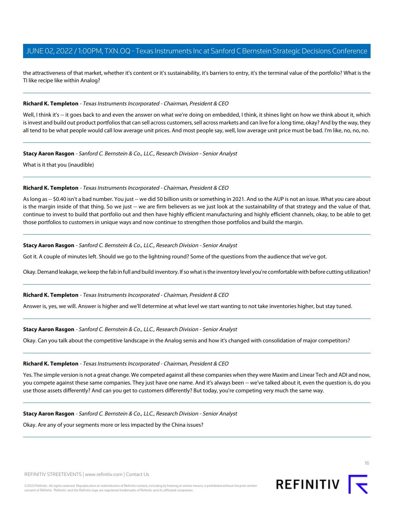the attractiveness of that market, whether it's content or it's sustainability, it's barriers to entry, it's the terminal value of the portfolio? What is the TI like recipe like within Analog?

#### **Richard K. Templeton** - Texas Instruments Incorporated - Chairman, President & CEO

Well, I think it's -- it goes back to and even the answer on what we're doing on embedded, I think, it shines light on how we think about it, which is invest and build out product portfolios that can sell across customers, sell across markets and can live for a long time, okay? And by the way, they all tend to be what people would call low average unit prices. And most people say, well, low average unit price must be bad. I'm like, no, no, no.

#### **Stacy Aaron Rasgon** - Sanford C. Bernstein & Co., LLC., Research Division - Senior Analyst

What is it that you (inaudible)

## **Richard K. Templeton** - Texas Instruments Incorporated - Chairman, President & CEO

As long as -- \$0.40 isn't a bad number. You just -- we did 50 billion units or something in 2021. And so the AUP is not an issue. What you care about is the margin inside of that thing. So we just -- we are firm believers as we just look at the sustainability of that strategy and the value of that, continue to invest to build that portfolio out and then have highly efficient manufacturing and highly efficient channels, okay, to be able to get those portfolios to customers in unique ways and now continue to strengthen those portfolios and build the margin.

## **Stacy Aaron Rasgon** - Sanford C. Bernstein & Co., LLC., Research Division - Senior Analyst

Got it. A couple of minutes left. Should we go to the lightning round? Some of the questions from the audience that we've got.

Okay. Demand leakage, we keep the fab in full and build inventory. If so what is the inventory level you're comfortable with before cutting utilization?

#### **Richard K. Templeton** - Texas Instruments Incorporated - Chairman, President & CEO

Answer is, yes, we will. Answer is higher and we'll determine at what level we start wanting to not take inventories higher, but stay tuned.

# **Stacy Aaron Rasgon** - Sanford C. Bernstein & Co., LLC., Research Division - Senior Analyst

Okay. Can you talk about the competitive landscape in the Analog semis and how it's changed with consolidation of major competitors?

#### **Richard K. Templeton** - Texas Instruments Incorporated - Chairman, President & CEO

Yes. The simple version is not a great change. We competed against all these companies when they were Maxim and Linear Tech and ADI and now, you compete against these same companies. They just have one name. And it's always been -- we've talked about it, even the question is, do you use those assets differently? And can you get to customers differently? But today, you're competing very much the same way.

**Stacy Aaron Rasgon** - Sanford C. Bernstein & Co., LLC., Research Division - Senior Analyst

Okay. Are any of your segments more or less impacted by the China issues?

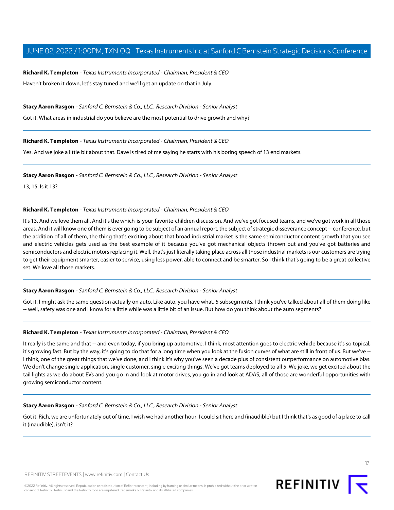**Richard K. Templeton** - Texas Instruments Incorporated - Chairman, President & CEO Haven't broken it down, let's stay tuned and we'll get an update on that in July.

**Stacy Aaron Rasgon** - Sanford C. Bernstein & Co., LLC., Research Division - Senior Analyst

Got it. What areas in industrial do you believe are the most potential to drive growth and why?

# **Richard K. Templeton** - Texas Instruments Incorporated - Chairman, President & CEO

Yes. And we joke a little bit about that. Dave is tired of me saying he starts with his boring speech of 13 end markets.

**Stacy Aaron Rasgon** - Sanford C. Bernstein & Co., LLC., Research Division - Senior Analyst

13, 15. Is it 13?

## **Richard K. Templeton** - Texas Instruments Incorporated - Chairman, President & CEO

It's 13. And we love them all. And it's the which-is-your-favorite-children discussion. And we've got focused teams, and we've got work in all those areas. And it will know one of them is ever going to be subject of an annual report, the subject of strategic disseverance concept -- conference, but the addition of all of them, the thing that's exciting about that broad industrial market is the same semiconductor content growth that you see and electric vehicles gets used as the best example of it because you've got mechanical objects thrown out and you've got batteries and semiconductors and electric motors replacing it. Well, that's just literally taking place across all those industrial markets is our customers are trying to get their equipment smarter, easier to service, using less power, able to connect and be smarter. So I think that's going to be a great collective set. We love all those markets.

# **Stacy Aaron Rasgon** - Sanford C. Bernstein & Co., LLC., Research Division - Senior Analyst

Got it. I might ask the same question actually on auto. Like auto, you have what, 5 subsegments. I think you've talked about all of them doing like -- well, safety was one and I know for a little while was a little bit of an issue. But how do you think about the auto segments?

#### **Richard K. Templeton** - Texas Instruments Incorporated - Chairman, President & CEO

It really is the same and that -- and even today, if you bring up automotive, I think, most attention goes to electric vehicle because it's so topical, it's growing fast. But by the way, it's going to do that for a long time when you look at the fusion curves of what are still in front of us. But we've -- I think, one of the great things that we've done, and I think it's why you've seen a decade plus of consistent outperformance on automotive bias. We don't change single application, single customer, single exciting things. We've got teams deployed to all 5. We joke, we get excited about the tail lights as we do about EVs and you go in and look at motor drives, you go in and look at ADAS, all of those are wonderful opportunities with growing semiconductor content.

#### **Stacy Aaron Rasgon** - Sanford C. Bernstein & Co., LLC., Research Division - Senior Analyst

Got it. Rich, we are unfortunately out of time. I wish we had another hour, I could sit here and (inaudible) but I think that's as good of a place to call it (inaudible), isn't it?